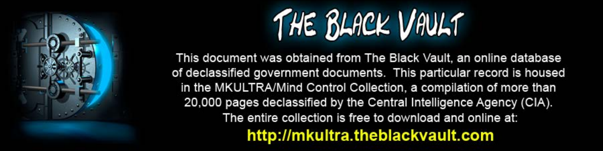

This document was obtained from The Black Vault, an online database of declassified government documents. This particular record is housed in the MKULTRA/Mind Control Collection, a compilation of more than 20,000 pages declassified by the Central Intelligence Agency (CIA). The entire collection is free to download and online at: http://mkultra.theblackvault.com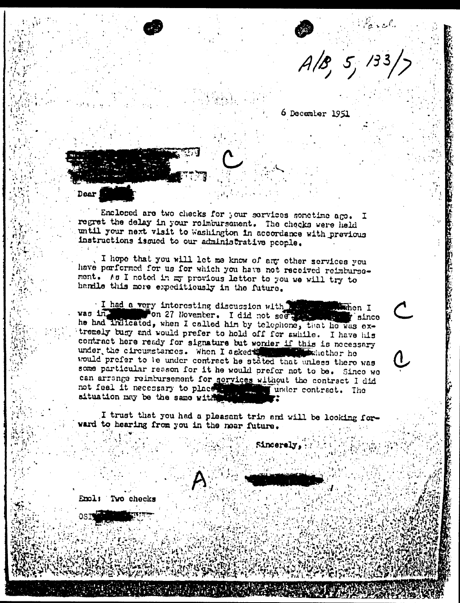$\frac{1}{4}$  /3  $\frac{1}{2}$  /3  $\frac{1}{2}$ 

6 December 1951

**Dear** 

Enclosed are two checks for your services sonetime ago. I regret the delay in your reimbursement. The checks were held until your next visit to washington in accordance with previous instructions issued to our administrative people.

I hope that you will let me know of any other services you have parformed for us for which you have not received reimbursement. As I noted in my previous letter to you we will try to handle this more expeditiously in the future.

I had a very interesting discussion with the state when I was in the common 27 November. I did not see the state of since vas in 'since tremely busy and would prefer to hold off for swhile. I have his contract here ready for signature but worder if this is necessary under the circumstances. When I asked the whether he would prefer to le under contract he stated that unless there was some particular reason for it he would prefer not to be. Since we can arrange reimbursement for services without the contract I did not feel it necessary to place the lunder contract. The situation may be the same with

I trust that you had a pleasant trip and will be looking forward to hearing from you in the near future.

Sincerely,

Emal: Two checks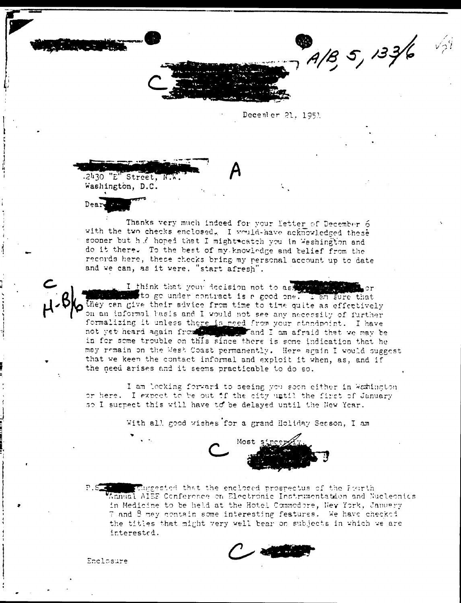$A/B$ , 5, 133/6

December 21, 1953

 $-2430$  " $E$ " Street, N.W. Washington, D.C.

Dear

Thanks very much indeed for your letter of December 6 with the two checks enclosed, I would-have acknowledged these sooner but h .? hoped that I might eatch you in Weshington and do it there. To the best of my knowledge and belief from the records here, these checks bring my personal account up to date and we can, as it were. "start afresh".

I think that your decision not to ask the state to go under contract is a good one. I am sure that they can give their advice from time to time quite as effectively on an informal basis and I would not see any necessity of further formalizing it unless there is reed from your standpoint. I have not yet heard again from the same and I am afraid that we may be in for some trouble on this since there is some indication that he may remain on the West Coast permanently. Here again I would suggest that we keen the contact informal and exploit it when, as, and if the need arises and it seems practicable to do so.

I am locking forward to seeing you soon either in Weshington or here. I expect to be out if the city until the first of January so I suspect this will have to be delayed until the New Year.

With all good wishes for a grand Holiday Sesson, I am



 $P.S.$ studgested that the enclosed prospectus of the Pourth Annual AIEE Conference on Electronic Instrumentation and Nucleonics in Medicine to be held at the Hotel Commodore, New York, Januery 7 and 8 may contain some interesting features. We have checked the titles that might very well bear on subjects in which we are interested.

 $\sim$   $\sim$   $\sim$   $\sim$ 

Enclosure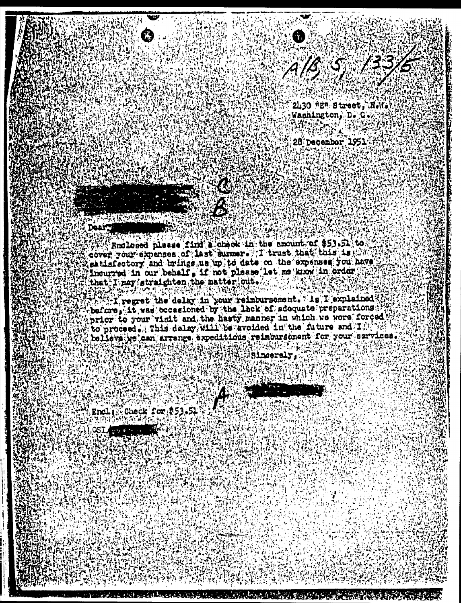

28 December 1951

a ma haife a ga shekarar a shekara na matsa a ga shekarar a ga shekarar a ga shekarar a ga shekarar a ga sheka

Enclosed please find a check in the amount of \$53.51 to cover, your expenses of last summer. T trust that this is the satisfectory and brings, us up to date on the expenses you have Incurred in our behalf, if not please let me know in order that I may straighten, the matter out.

Tregret the delay in your reimbursement. As I explained before, it, was becasioned by the lack of adequate preparations. prior to your visit and the hasty manner in which we were forced to proceed . This delay will be avoided in the future and I believs we can arrange expeditions reimbursement for your sarvices.

Sinceraly.

**Check for \$53.51** Enal

QSI **ATTERIOR**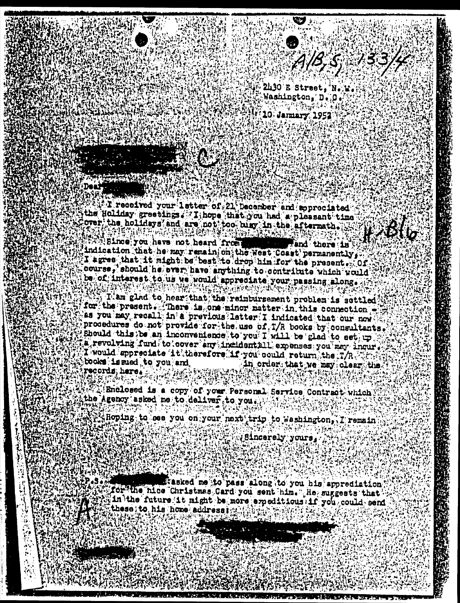





A1B 5 133

Ø.

10 January 1952

T received your letter of 21 December and appreciated the Holiday greetings. Xihope that you had a pleasant time over the holldays and are not too biay in the aftermath. 退热病药

12816 医视诊诊器  $\approx 13$  $(s)$  ,  $\ldots$ Since you have not heard from **Example 15** indication that he may remain on the west Coast permanently, I agree that it might be best to drop him for the present . Of course, should he over have anything to contribute which would be of interest to us we would appreciate your passing along.

I am glad to hear that the reimbursement problem is sottled for the present. There is one minor matter in this connection as you may recall in a previous latter I indicated that our now procedures do not provide for the use of T/R books by consultants. Should this be an inconvenience to you I will be glad to set up a revolving fund to cover any incidentill expenses you may inquire I would sppreciate it therefore if you could return the T/R  $\ll$ books issued to you and in order that we may clear the records here.

Enclosed is a copy of your Personal Service Contract which the Agency asked me to deliver to you.

Hoping to cee you on your next trip to Washington, I remain

/Sincerely yours,

Tasked me to pass along to you his apprediation. for the nice Christmas Card you sent him. Le suggests that in the future it might be more expeditions if you could send these; to his home address; w.

**RETRAINER**